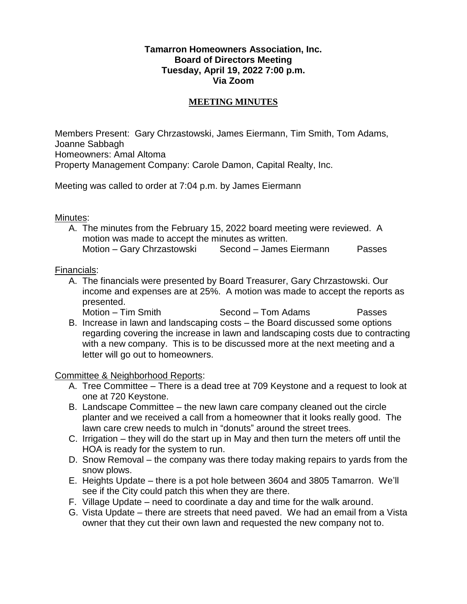## **Tamarron Homeowners Association, Inc. Board of Directors Meeting Tuesday, April 19, 2022 7:00 p.m. Via Zoom**

## **MEETING MINUTES**

Members Present: Gary Chrzastowski, James Eiermann, Tim Smith, Tom Adams, Joanne Sabbagh Homeowners: Amal Altoma Property Management Company: Carole Damon, Capital Realty, Inc.

Meeting was called to order at 7:04 p.m. by James Eiermann

#### Minutes:

A. The minutes from the February 15, 2022 board meeting were reviewed. A motion was made to accept the minutes as written. Motion – Gary Chrzastowski Second – James Eiermann Passes

#### Financials:

- A. The financials were presented by Board Treasurer, Gary Chrzastowski. Our income and expenses are at 25%. A motion was made to accept the reports as presented.
	- Motion Tim Smith Second Tom Adams Passes
- B. Increase in lawn and landscaping costs the Board discussed some options regarding covering the increase in lawn and landscaping costs due to contracting with a new company. This is to be discussed more at the next meeting and a letter will go out to homeowners.

Committee & Neighborhood Reports:

- A. Tree Committee There is a dead tree at 709 Keystone and a request to look at one at 720 Keystone.
- B. Landscape Committee the new lawn care company cleaned out the circle planter and we received a call from a homeowner that it looks really good. The lawn care crew needs to mulch in "donuts" around the street trees.
- C. Irrigation they will do the start up in May and then turn the meters off until the HOA is ready for the system to run.
- D. Snow Removal the company was there today making repairs to yards from the snow plows.
- E. Heights Update there is a pot hole between 3604 and 3805 Tamarron. We'll see if the City could patch this when they are there.
- F. Village Update need to coordinate a day and time for the walk around.
- G. Vista Update there are streets that need paved. We had an email from a Vista owner that they cut their own lawn and requested the new company not to.